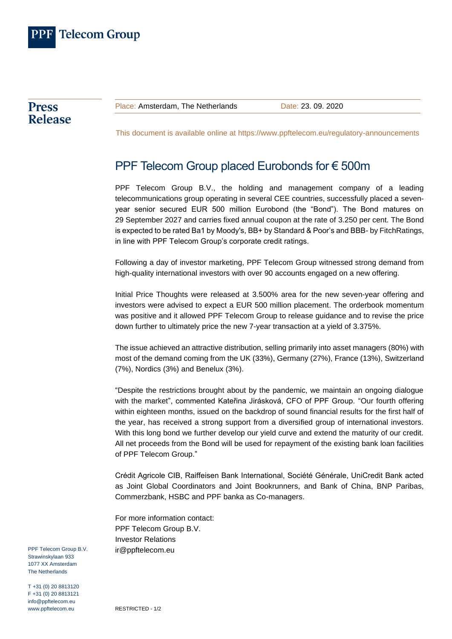

**Press Release** 

Place: Amsterdam, The Netherlands Date: 23, 09, 2020

This document is available online at<https://www.ppftelecom.eu/regulatory-announcements>

## PPF Telecom Group placed Eurobonds for € 500m

PPF Telecom Group B.V., the holding and management company of a leading telecommunications group operating in several CEE countries, successfully placed a sevenyear senior secured EUR 500 million Eurobond (the "Bond"). The Bond matures on 29 September 2027 and carries fixed annual coupon at the rate of 3.250 per cent. The Bond is expected to be rated Ba1 by Moody's, BB+ by Standard & Poor's and BBB- by FitchRatings, in line with PPF Telecom Group's corporate credit ratings.

Following a day of investor marketing, PPF Telecom Group witnessed strong demand from high-quality international investors with over 90 accounts engaged on a new offering.

Initial Price Thoughts were released at 3.500% area for the new seven-year offering and investors were advised to expect a EUR 500 million placement. The orderbook momentum was positive and it allowed PPF Telecom Group to release guidance and to revise the price down further to ultimately price the new 7-year transaction at a yield of 3.375%.

The issue achieved an attractive distribution, selling primarily into asset managers (80%) with most of the demand coming from the UK (33%), Germany (27%), France (13%), Switzerland (7%), Nordics (3%) and Benelux (3%).

"Despite the restrictions brought about by the pandemic, we maintain an ongoing dialogue with the market", commented Kateřina Jirásková, CFO of PPF Group. "Our fourth offering within eighteen months, issued on the backdrop of sound financial results for the first half of the year, has received a strong support from a diversified group of international investors. With this long bond we further develop our yield curve and extend the maturity of our credit. All net proceeds from the Bond will be used for repayment of the existing bank loan facilities of PPF Telecom Group."

Crédit Agricole CIB, Raiffeisen Bank International, Société Générale, UniCredit Bank acted as Joint Global Coordinators and Joint Bookrunners, and Bank of China, BNP Paribas, Commerzbank, HSBC and PPF banka as Co-managers.

For more information contact: PPF Telecom Group B.V. Investor Relations [ir@ppftelecom.eu](mailto:ir@ppftelecom.eu)

PPF Telecom Group B.V. Strawinskylaan 933 1077 XX Amsterdam The Netherlands

T +31 (0) 20 8813120 F +31 (0) 20 8813121 info@ppftelecom.eu www.ppftelecom.eu